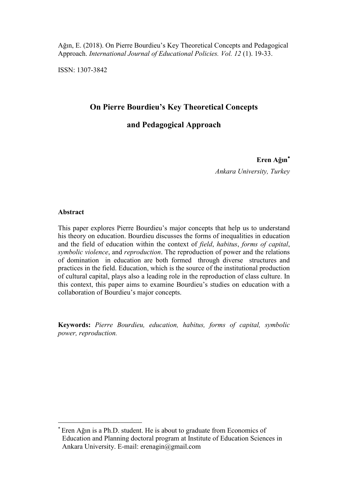Ağın, E. (2018). On Pierre Bourdieu's Key Theoretical Concepts and Pedagogical Approach. *International Journal of Educational Policies. Vol. 12* (1). 19-33.

ISSN: 1307-3842

# **On Pierre Bourdieu's Key Theoretical Concepts**

# **and Pedagogical Approach**

## **Eren Ağın**

*Ankara University, Turkey*

## **Abstract**

 $\overline{a}$ 

This paper explores Pierre Bourdieu's major concepts that help us to understand his theory on education. Bourdieu discusses the forms of inequalities in education and the field of education within the context of *field*, *habitus*, *forms of capital*, *symbolic violence*, and *reproduction*. The reproduction of power and the relations of domination in education are both formed through diverse structures and practices in the field. Education, which is the source of the institutional production of cultural capital, plays also a leading role in the reproduction of class culture. In this context, this paper aims to examine Bourdieu's studies on education with a collaboration of Bourdieu's major concepts.

**Keywords:** *Pierre Bourdieu, education, habitus, forms of capital, symbolic power, reproduction.*

<sup>\*</sup> Eren Ağın is a Ph.D. student. He is about to graduate from Economics of Education and Planning doctoral program at Institute of Education Sciences in Ankara University. E-mail: erenagin@gmail.com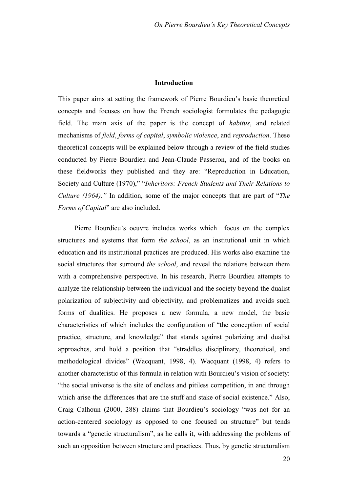## **Introduction**

This paper aims at setting the framework of Pierre Bourdieu's basic theoretical concepts and focuses on how the French sociologist formulates the pedagogic field. The main axis of the paper is the concept of *habitus*, and related mechanisms of *field*, *forms of capital*, *symbolic violence*, and *reproduction*. These theoretical concepts will be explained below through a review of the field studies conducted by Pierre Bourdieu and Jean-Claude Passeron, and of the books on these fieldworks they published and they are: "Reproduction in Education, Society and Culture (1970)," "*Inheritors: French Students and Their Relations to Culture (1964)."* In addition, some of the major concepts that are part of "*The Forms of Capital*" are also included.

Pierre Bourdieu's oeuvre includes works which focus on the complex structures and systems that form *the school*, as an institutional unit in which education and its institutional practices are produced. His works also examine the social structures that surround *the school*, and reveal the relations between them with a comprehensive perspective. In his research, Pierre Bourdieu attempts to analyze the relationship between the individual and the society beyond the dualist polarization of subjectivity and objectivity, and problematizes and avoids such forms of dualities. He proposes a new formula, a new model, the basic characteristics of which includes the configuration of "the conception of social practice, structure, and knowledge" that stands against polarizing and dualist approaches, and hold a position that "straddles disciplinary, theoretical, and methodological divides" (Wacquant, 1998, 4). Wacquant (1998, 4) refers to another characteristic of this formula in relation with Bourdieu's vision of society: "the social universe is the site of endless and pitiless competition, in and through which arise the differences that are the stuff and stake of social existence." Also, Craig Calhoun (2000, 288) claims that Bourdieu's sociology "was not for an action-centered sociology as opposed to one focused on structure" but tends towards a "genetic structuralism", as he calls it, with addressing the problems of such an opposition between structure and practices. Thus, by genetic structuralism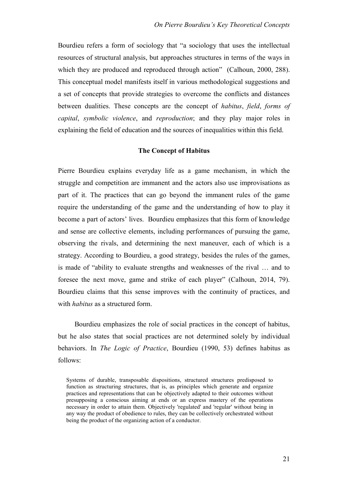Bourdieu refers a form of sociology that "a sociology that uses the intellectual resources of structural analysis, but approaches structures in terms of the ways in which they are produced and reproduced through action" (Calhoun, 2000, 288). This conceptual model manifests itself in various methodological suggestions and a set of concepts that provide strategies to overcome the conflicts and distances between dualities. These concepts are the concept of *habitus*, *field*, *forms of capital*, *symbolic violence*, and *reproduction*; and they play major roles in explaining the field of education and the sources of inequalities within this field.

### **The Concept of Habitus**

Pierre Bourdieu explains everyday life as a game mechanism, in which the struggle and competition are immanent and the actors also use improvisations as part of it. The practices that can go beyond the immanent rules of the game require the understanding of the game and the understanding of how to play it become a part of actors' lives. Bourdieu emphasizes that this form of knowledge and sense are collective elements, including performances of pursuing the game, observing the rivals, and determining the next maneuver, each of which is a strategy. According to Bourdieu, a good strategy, besides the rules of the games, is made of "ability to evaluate strengths and weaknesses of the rival … and to foresee the next move, game and strike of each player" (Calhoun, 2014, 79). Bourdieu claims that this sense improves with the continuity of practices, and with *habitus* as a structured form.

Bourdieu emphasizes the role of social practices in the concept of habitus, but he also states that social practices are not determined solely by individual behaviors. In *The Logic of Practice*, Bourdieu (1990, 53) defines habitus as follows:

Systems of durable, transposable dispositions, structured structures predisposed to function as structuring structures, that is, as principles which generate and organize practices and representations that can be objectively adapted to their outcomes without presupposing a conscious aiming at ends or an express mastery of the operations necessary in order to attain them. Objectively 'regulated' and 'regular' without being in any way the product of obedience to rules, they can be collectively orchestrated without being the product of the organizing action of a conductor.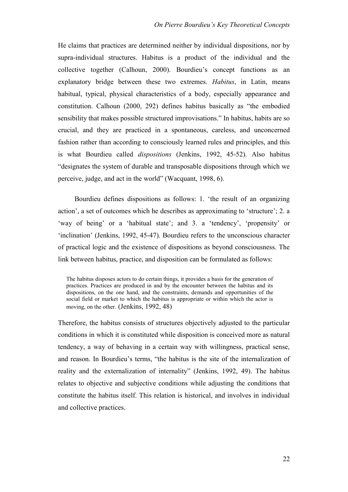He claims that practices are determined neither by individual dispositions, nor by supra-individual structures. Habitus is a product of the individual and the collective together (Calhoun, 2000). Bourdieu's concept functions as an explanatory bridge between these two extremes. *Habitus*, in Latin, means habitual, typical, physical characteristics of a body, especially appearance and constitution. Calhoun (2000, 292) defines habitus basically as "the embodied sensibility that makes possible structured improvisations." In habitus, habits are so crucial, and they are practiced in a spontaneous, careless, and unconcerned fashion rather than according to consciously learned rules and principles, and this is what Bourdieu called *dispositions* (Jenkins, 1992, 45-52). Also habitus "designates the system of durable and transposable dispositions through which we perceive, judge, and act in the world" (Wacquant, 1998, 6).

Bourdieu defines dispositions as follows: 1. 'the result of an organizing action', a set of outcomes which he describes as approximating to 'structure'; 2. a 'way of being' or a 'habitual state'; and 3. a 'tendency', 'propensity' or 'inclination' (Jenkins, 1992, 45-47). Bourdieu refers to the unconscious character of practical logic and the existence of dispositions as beyond consciousness. The link between habitus, practice, and disposition can be formulated as follows:

The habitus disposes actors to do certain things, it provides a basis for the generation of practices. Practices are produced in and by the encounter between the habitus and its dispositions, on the one hand, and the constraints, demands and opportunities of the social field or market to which the habitus is appropriate or within which the actor is moving, on the other. (Jenkins, 1992, 48)

Therefore, the habitus consists of structures objectively adjusted to the particular conditions in which it is constituted while disposition is conceived more as natural tendency, a way of behaving in a certain way with willingness, practical sense, and reason. In Bourdieu's terms, "the habitus is the site of the internalization of reality and the externalization of internality" (Jenkins, 1992, 49). The habitus relates to objective and subjective conditions while adjusting the conditions that constitute the habitus itself. This relation is historical, and involves in individual and collective practices.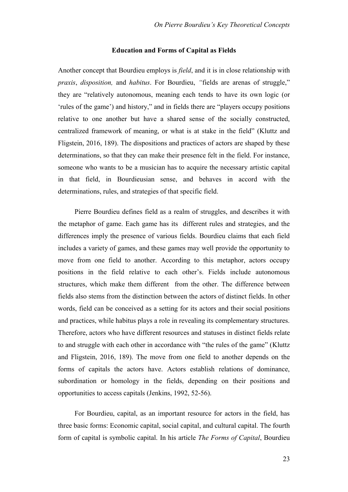#### **Education and Forms of Capital as Fields**

Another concept that Bourdieu employs is *field*, and it is in close relationship with *praxis*, *disposition,* and *habitus*. For Bourdieu, *"*fields are arenas of struggle," they are "relatively autonomous, meaning each tends to have its own logic (or 'rules of the game') and history," and in fields there are "players occupy positions relative to one another but have a shared sense of the socially constructed, centralized framework of meaning, or what is at stake in the field" (Kluttz and Fligstein, 2016, 189). The dispositions and practices of actors are shaped by these determinations, so that they can make their presence felt in the field. For instance, someone who wants to be a musician has to acquire the necessary artistic capital in that field, in Bourdieusian sense, and behaves in accord with the determinations, rules, and strategies of that specific field.

Pierre Bourdieu defines field as a realm of struggles, and describes it with the metaphor of game. Each game has its different rules and strategies, and the differences imply the presence of various fields. Bourdieu claims that each field includes a variety of games, and these games may well provide the opportunity to move from one field to another. According to this metaphor, actors occupy positions in the field relative to each other's. Fields include autonomous structures, which make them different from the other. The difference between fields also stems from the distinction between the actors of distinct fields. In other words, field can be conceived as a setting for its actors and their social positions and practices, while habitus plays a role in revealing its complementary structures. Therefore, actors who have different resources and statuses in distinct fields relate to and struggle with each other in accordance with "the rules of the game" (Kluttz and Fligstein, 2016, 189). The move from one field to another depends on the forms of capitals the actors have. Actors establish relations of dominance, subordination or homology in the fields, depending on their positions and opportunities to access capitals (Jenkins, 1992, 52-56).

For Bourdieu, capital, as an important resource for actors in the field, has three basic forms: Economic capital, social capital, and cultural capital. The fourth form of capital is symbolic capital. In his article *The Forms of Capital*, Bourdieu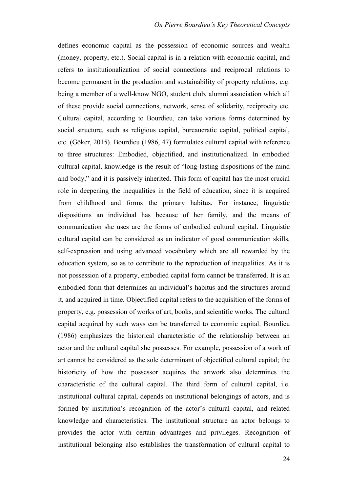defines economic capital as the possession of economic sources and wealth (money, property, etc.). Social capital is in a relation with economic capital, and refers to institutionalization of social connections and reciprocal relations to become permanent in the production and sustainability of property relations, e.g. being a member of a well-know NGO, student club, alumni association which all of these provide social connections, network, sense of solidarity, reciprocity etc. Cultural capital, according to Bourdieu, can take various forms determined by social structure, such as religious capital, bureaucratic capital, political capital, etc. (Göker, 2015). Bourdieu (1986, 47) formulates cultural capital with reference to three structures: Embodied, objectified, and institutionalized. In embodied cultural capital, knowledge is the result of "long-lasting dispositions of the mind and body," and it is passively inherited. This form of capital has the most crucial role in deepening the inequalities in the field of education, since it is acquired from childhood and forms the primary habitus. For instance, linguistic dispositions an individual has because of her family, and the means of communication she uses are the forms of embodied cultural capital. Linguistic cultural capital can be considered as an indicator of good communication skills, self-expression and using advanced vocabulary which are all rewarded by the education system, so as to contribute to the reproduction of inequalities. As it is not possession of a property, embodied capital form cannot be transferred. It is an embodied form that determines an individual's habitus and the structures around it, and acquired in time. Objectified capital refers to the acquisition of the forms of property, e.g. possession of works of art, books, and scientific works. The cultural capital acquired by such ways can be transferred to economic capital. Bourdieu (1986) emphasizes the historical characteristic of the relationship between an actor and the cultural capital she possesses. For example, possession of a work of art cannot be considered as the sole determinant of objectified cultural capital; the historicity of how the possessor acquires the artwork also determines the characteristic of the cultural capital. The third form of cultural capital, i.e. institutional cultural capital, depends on institutional belongings of actors, and is formed by institution's recognition of the actor's cultural capital, and related knowledge and characteristics. The institutional structure an actor belongs to provides the actor with certain advantages and privileges. Recognition of institutional belonging also establishes the transformation of cultural capital to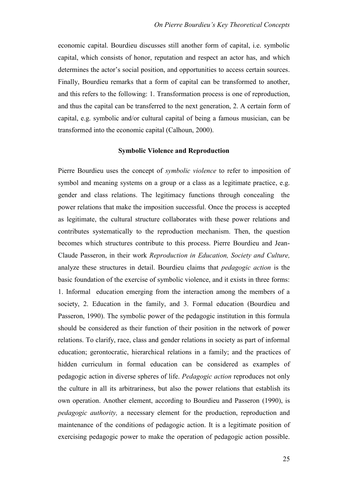economic capital. Bourdieu discusses still another form of capital, i.e. symbolic capital, which consists of honor, reputation and respect an actor has, and which determines the actor's social position, and opportunities to access certain sources. Finally, Bourdieu remarks that a form of capital can be transformed to another, and this refers to the following: 1. Transformation process is one of reproduction, and thus the capital can be transferred to the next generation, 2. A certain form of capital, e.g. symbolic and/or cultural capital of being a famous musician, can be transformed into the economic capital (Calhoun, 2000).

## **Symbolic Violence and Reproduction**

Pierre Bourdieu uses the concept of *symbolic violence* to refer to imposition of symbol and meaning systems on a group or a class as a legitimate practice, e.g. gender and class relations. The legitimacy functions through concealing the power relations that make the imposition successful. Once the process is accepted as legitimate, the cultural structure collaborates with these power relations and contributes systematically to the reproduction mechanism. Then, the question becomes which structures contribute to this process. Pierre Bourdieu and Jean-Claude Passeron, in their work *Reproduction in Education, Society and Culture,*  analyze these structures in detail. Bourdieu claims that *pedagogic action* is the basic foundation of the exercise of symbolic violence, and it exists in three forms: 1. Informal education emerging from the interaction among the members of a society, 2. Education in the family, and 3. Formal education (Bourdieu and Passeron, 1990). The symbolic power of the pedagogic institution in this formula should be considered as their function of their position in the network of power relations. To clarify, race, class and gender relations in society as part of informal education; gerontocratic, hierarchical relations in a family; and the practices of hidden curriculum in formal education can be considered as examples of pedagogic action in diverse spheres of life. *Pedagogic action* reproduces not only the culture in all its arbitrariness, but also the power relations that establish its own operation. Another element, according to Bourdieu and Passeron (1990), is *pedagogic authority,* a necessary element for the production, reproduction and maintenance of the conditions of pedagogic action. It is a legitimate position of exercising pedagogic power to make the operation of pedagogic action possible.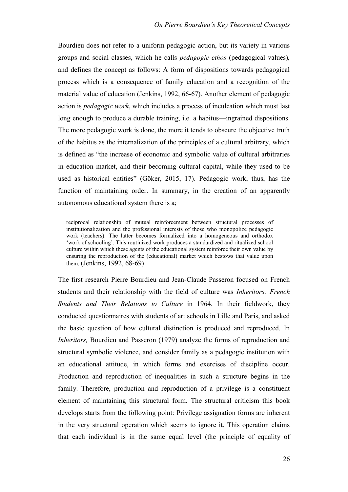Bourdieu does not refer to a uniform pedagogic action, but its variety in various groups and social classes, which he calls *pedagogic ethos* (pedagogical values)*,*  and defines the concept as follows: A form of dispositions towards pedagogical process which is a consequence of family education and a recognition of the material value of education (Jenkins, 1992, 66-67). Another element of pedagogic action is *pedagogic work*, which includes a process of inculcation which must last long enough to produce a durable training, i.e. a habitus—ingrained dispositions. The more pedagogic work is done, the more it tends to obscure the objective truth of the habitus as the internalization of the principles of a cultural arbitrary, which is defined as "the increase of economic and symbolic value of cultural arbitraries in education market, and their becoming cultural capital, while they used to be used as historical entities" (Göker, 2015, 17). Pedagogic work, thus, has the function of maintaining order. In summary, in the creation of an apparently autonomous educational system there is a;

reciprocal relationship of mutual reinforcement between structural processes of institutionalization and the professional interests of those who monopolize pedagogic work (teachers). The latter becomes formalized into a homogeneous and orthodox 'work of schooling'. This routinized work produces a standardized and ritualized school culture within which these agents of the educational system reinforce their own value by ensuring the reproduction of the (educational) market which bestows that value upon them. (Jenkins, 1992, 68-69)

The first research Pierre Bourdieu and Jean-Claude Passeron focused on French students and their relationship with the field of culture was *Inheritors: French Students and Their Relations to Culture* in 1964. In their fieldwork, they conducted questionnaires with students of art schools in Lille and Paris, and asked the basic question of how cultural distinction is produced and reproduced. In *Inheritors*, Bourdieu and Passeron (1979) analyze the forms of reproduction and structural symbolic violence, and consider family as a pedagogic institution with an educational attitude, in which forms and exercises of discipline occur. Production and reproduction of inequalities in such a structure begins in the family. Therefore, production and reproduction of a privilege is a constituent element of maintaining this structural form. The structural criticism this book develops starts from the following point: Privilege assignation forms are inherent in the very structural operation which seems to ignore it. This operation claims that each individual is in the same equal level (the principle of equality of

26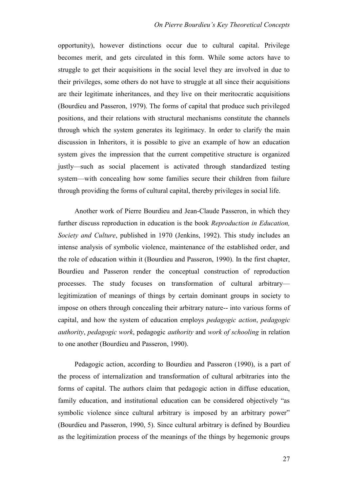opportunity), however distinctions occur due to cultural capital. Privilege becomes merit, and gets circulated in this form. While some actors have to struggle to get their acquisitions in the social level they are involved in due to their privileges, some others do not have to struggle at all since their acquisitions are their legitimate inheritances, and they live on their meritocratic acquisitions (Bourdieu and Passeron, 1979). The forms of capital that produce such privileged positions, and their relations with structural mechanisms constitute the channels through which the system generates its legitimacy. In order to clarify the main discussion in Inheritors, it is possible to give an example of how an education system gives the impression that the current competitive structure is organized justly—such as social placement is activated through standardized testing system—with concealing how some families secure their children from failure through providing the forms of cultural capital, thereby privileges in social life.

Another work of Pierre Bourdieu and Jean-Claude Passeron, in which they further discuss reproduction in education is the book *Reproduction in Education, Society and Culture*, published in 1970 (Jenkins, 1992). This study includes an intense analysis of symbolic violence, maintenance of the established order, and the role of education within it (Bourdieu and Passeron, 1990). In the first chapter, Bourdieu and Passeron render the conceptual construction of reproduction processes. The study focuses on transformation of cultural arbitrary legitimization of meanings of things by certain dominant groups in society to impose on others through concealing their arbitrary nature-- into various forms of capital, and how the system of education employs *pedagogic action*, *pedagogic authority*, *pedagogic work*, pedagogic *authority* and *work of schooling* in relation to one another (Bourdieu and Passeron, 1990).

Pedagogic action, according to Bourdieu and Passeron (1990), is a part of the process of internalization and transformation of cultural arbitraries into the forms of capital. The authors claim that pedagogic action in diffuse education, family education, and institutional education can be considered objectively "as symbolic violence since cultural arbitrary is imposed by an arbitrary power" (Bourdieu and Passeron, 1990, 5). Since cultural arbitrary is defined by Bourdieu as the legitimization process of the meanings of the things by hegemonic groups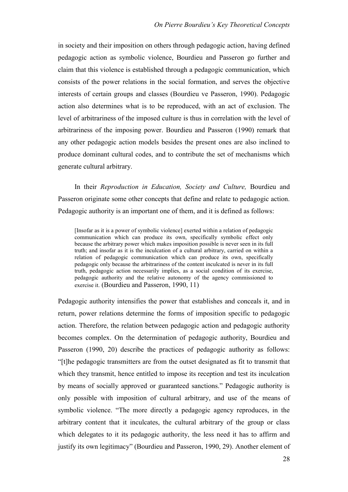in society and their imposition on others through pedagogic action, having defined pedagogic action as symbolic violence, Bourdieu and Passeron go further and claim that this violence is established through a pedagogic communication, which consists of the power relations in the social formation, and serves the objective interests of certain groups and classes (Bourdieu ve Passeron, 1990). Pedagogic action also determines what is to be reproduced, with an act of exclusion. The level of arbitrariness of the imposed culture is thus in correlation with the level of arbitrariness of the imposing power. Bourdieu and Passeron (1990) remark that any other pedagogic action models besides the present ones are also inclined to produce dominant cultural codes, and to contribute the set of mechanisms which generate cultural arbitrary.

In their *Reproduction in Education, Society and Culture,* Bourdieu and Passeron originate some other concepts that define and relate to pedagogic action. Pedagogic authority is an important one of them, and it is defined as follows:

[Insofar as it is a power of symbolic violence] exerted within a relation of pedagogic communication which can produce its own, specifically symbolic effect only because the arbitrary power which makes imposition possible is never seen in its full truth; and insofar as it is the inculcation of a cultural arbitrary, carried on within a relation of pedagogic communication which can produce its own, specifically pedagogic only because the arbitrariness of the content inculcated is never in its full truth, pedagogic action necessarily implies, as a social condition of its exercise, pedagogic authority and the relative autonomy of the agency commissioned to exercise it. (Bourdieu and Passeron, 1990, 11)

Pedagogic authority intensifies the power that establishes and conceals it, and in return, power relations determine the forms of imposition specific to pedagogic action. Therefore, the relation between pedagogic action and pedagogic authority becomes complex. On the determination of pedagogic authority, Bourdieu and Passeron (1990, 20) describe the practices of pedagogic authority as follows: "[t]he pedagogic transmitters are from the outset designated as fit to transmit that which they transmit, hence entitled to impose its reception and test its inculcation by means of socially approved or guaranteed sanctions." Pedagogic authority is only possible with imposition of cultural arbitrary, and use of the means of symbolic violence. "The more directly a pedagogic agency reproduces, in the arbitrary content that it inculcates, the cultural arbitrary of the group or class which delegates to it its pedagogic authority, the less need it has to affirm and justify its own legitimacy" (Bourdieu and Passeron, 1990, 29). Another element of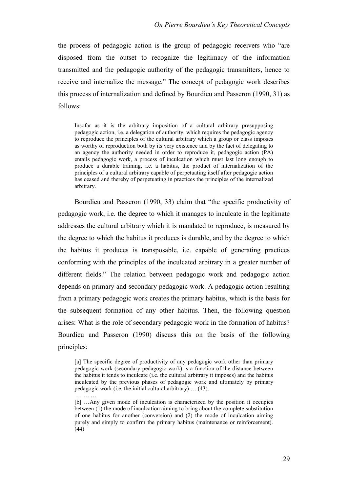the process of pedagogic action is the group of pedagogic receivers who "are disposed from the outset to recognize the legitimacy of the information transmitted and the pedagogic authority of the pedagogic transmitters, hence to receive and internalize the message." The concept of pedagogic work describes this process of internalization and defined by Bourdieu and Passeron (1990, 31) as follows:

Insofar as it is the arbitrary imposition of a cultural arbitrary presupposing pedagogic action, i.e. a delegation of authority, which requires the pedagogic agency to reproduce the principles of the cultural arbitrary which a group or class imposes as worthy of reproduction both by its very existence and by the fact of delegating to an agency the authority needed in order to reproduce it, pedagogic action (PA) entails pedagogic work, a process of inculcation which must last long enough to produce a durable training, i.e. a habitus, the product of internalization of the principles of a cultural arbitrary capable of perpetuating itself after pedagogic action has ceased and thereby of perpetuating in practices the principles of the internalized arbitrary.

Bourdieu and Passeron (1990, 33) claim that "the specific productivity of pedagogic work, i.e. the degree to which it manages to inculcate in the legitimate addresses the cultural arbitrary which it is mandated to reproduce, is measured by the degree to which the habitus it produces is durable, and by the degree to which the habitus it produces is transposable, i.e. capable of generating practices conforming with the principles of the inculcated arbitrary in a greater number of different fields." The relation between pedagogic work and pedagogic action depends on primary and secondary pedagogic work. A pedagogic action resulting from a primary pedagogic work creates the primary habitus, which is the basis for the subsequent formation of any other habitus. Then, the following question arises: What is the role of secondary pedagogic work in the formation of habitus? Bourdieu and Passeron (1990) discuss this on the basis of the following principles:

<sup>[</sup>a] The specific degree of productivity of any pedagogic work other than primary pedagogic work (secondary pedagogic work) is a function of the distance between the habitus it tends to inculcate (i.e. the cultural arbitrary it imposes) and the habitus inculcated by the previous phases of pedagogic work and ultimately by primary pedagogic work (i.e. the initial cultural arbitrary) … (43).

<sup>[</sup>b] …Any given mode of inculcation is characterized by the position it occupies between (1) the mode of inculcation aiming to bring about the complete substitution of one habitus for another (conversion) and (2) the mode of inculcation aiming purely and simply to confirm the primary habitus (maintenance or reinforcement).  $(44)$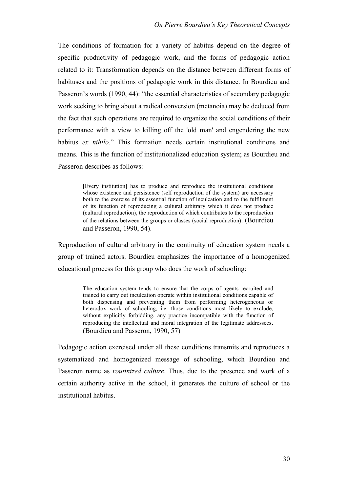The conditions of formation for a variety of habitus depend on the degree of specific productivity of pedagogic work, and the forms of pedagogic action related to it: Transformation depends on the distance between different forms of habituses and the positions of pedagogic work in this distance. In Bourdieu and Passeron's words (1990, 44): "the essential characteristics of secondary pedagogic work seeking to bring about a radical conversion (metanoia) may be deduced from the fact that such operations are required to organize the social conditions of their performance with a view to killing off the 'old man' and engendering the new habitus *ex nihilo*." This formation needs certain institutional conditions and means. This is the function of institutionalized education system; as Bourdieu and Passeron describes as follows:

> [Every institution] has to produce and reproduce the institutional conditions whose existence and persistence (self reproduction of the system) are necessary both to the exercise of its essential function of inculcation and to the fulfilment of its function of reproducing a cultural arbitrary which it does not produce (cultural reproduction), the reproduction of which contributes to the reproduction of the relations between the groups or classes (social reproduction). (Bourdieu and Passeron, 1990, 54).

Reproduction of cultural arbitrary in the continuity of education system needs a group of trained actors. Bourdieu emphasizes the importance of a homogenized educational process for this group who does the work of schooling:

> The education system tends to ensure that the corps of agents recruited and trained to carry out inculcation operate within institutional conditions capable of both dispensing and preventing them from performing heterogeneous or heterodox work of schooling, i.e. those conditions most likely to exclude, without explicitly forbidding, any practice incompatible with the function of reproducing the intellectual and moral integration of the legitimate addressees. (Bourdieu and Passeron, 1990, 57)

Pedagogic action exercised under all these conditions transmits and reproduces a systematized and homogenized message of schooling, which Bourdieu and Passeron name as *routinized culture*. Thus, due to the presence and work of a certain authority active in the school, it generates the culture of school or the institutional habitus.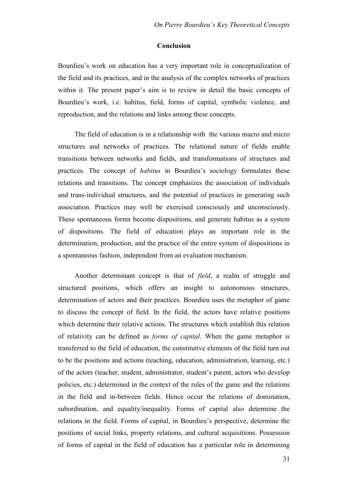## **Conclusion**

Bourdieu's work on education has a very important role in conceptualization of the field and its practices, and in the analysis of the complex networks of practices within it. The present paper's aim is to review in detail the basic concepts of Bourdieu's work, i.e. habitus, field, forms of capital, symbolic violence, and reproduction, and the relations and links among these concepts.

The field of education is in a relationship with the various macro and micro structures and networks of practices. The relational nature of fields enable transitions between networks and fields, and transformations of structures and practices. The concept of *habitus* in Bourdieu's sociology formulates these relations and transitions. The concept emphasizes the association of individuals and trans-individual structures, and the potential of practices in generating such association. Practices may well be exercised consciously and unconsciously. These spontaneous forms become dispositions, and generate habitus as a system of dispositions. The field of education plays an important role in the determination, production, and the practice of the entire system of dispositions in a spontaneous fashion, independent from an evaluation mechanism.

Another determinant concept is that of *field*, a realm of struggle and structured positions, which offers an insight to autonomous structures, determination of actors and their practices. Bourdieu uses the metaphor of game to discuss the concept of field. In the field, the actors have relative positions which determine their relative actions. The structures which establish this relation of relativity can be defined as *forms of capital*. When the game metaphor is transferred to the field of education, the constitutive elements of the field turn out to be the positions and actions (teaching, education, administration, learning, etc.) of the actors (teacher, student, administrator, student's parent, actors who develop policies, etc.) determined in the context of the rules of the game and the relations in the field and in-between fields. Hence occur the relations of domination, subordination, and equality/inequality. Forms of capital also determine the relations in the field. Forms of capital, in Bourdieu's perspective, determine the positions of social links, property relations, and cultural acquisitions. Possession of forms of capital in the field of education has a particular role in determining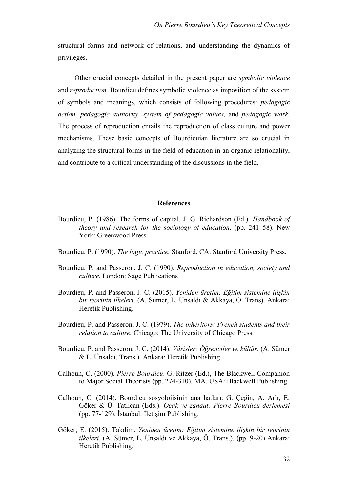structural forms and network of relations, and understanding the dynamics of privileges.

Other crucial concepts detailed in the present paper are *symbolic violence* and *reproduction*. Bourdieu defines symbolic violence as imposition of the system of symbols and meanings, which consists of following procedures: *pedagogic action, pedagogic authority, system of pedagogic values,* and *pedagogic work.*  The process of reproduction entails the reproduction of class culture and power mechanisms. These basic concepts of Bourdieuian literature are so crucial in analyzing the structural forms in the field of education in an organic relationality, and contribute to a critical understanding of the discussions in the field.

#### **References**

- Bourdieu, P. (1986). The forms of capital. J. G. Richardson (Ed.). *Handbook of theory and research for the sociology of education.* (pp. 241–58). New York: Greenwood Press.
- Bourdieu, P. (1990). *The logic practice.* Stanford, CA: Stanford University Press.
- Bourdieu, P. and Passeron, J. C. (1990). *Reproduction in education, society and culture*. London: Sage Publications
- Bourdieu, P. and Passeron, J. C. (2015). *Yeniden üretim: Eğitim sistemine ilişkin bir teorinin ilkeleri*. (A. Sümer, L. Ünsaldı & Akkaya, Ö. Trans). Ankara: Heretik Publishing.
- Bourdieu, P. and Passeron, J. C. (1979). *The inheritors: French students and their relation to culture.* Chicago: The University of Chicago Press
- Bourdieu, P. and Passeron, J. C. (2014). *Vârisler: Öğrenciler ve kültür*. (A. Sümer & L. Ünsaldı, Trans.). Ankara: Heretik Publishing.
- Calhoun, C. (2000). *Pierre Bourdieu*. G. Ritzer (Ed.), The Blackwell Companion to Major Social Theorists (pp. 274-310). MA, USA: Blackwell Publishing.
- Calhoun, C. (2014). Bourdieu sosyolojisinin ana hatları. G. Çeğin, A. Arlı, E. Göker & Ü. Tatlıcan (Eds.). *Ocak ve zanaat: Pierre Bourdieu derlemesi* (pp. 77-129). İstanbul: İletişim Publishing.
- Göker, E. (2015). Takdim. *Yeniden üretim: Eğitim sistemine ilişkin bir teorinin ilkeleri*. (A. Sümer, L. Ünsaldı ve Akkaya, Ö. Trans.). (pp. 9-20) Ankara: Heretik Publishing.